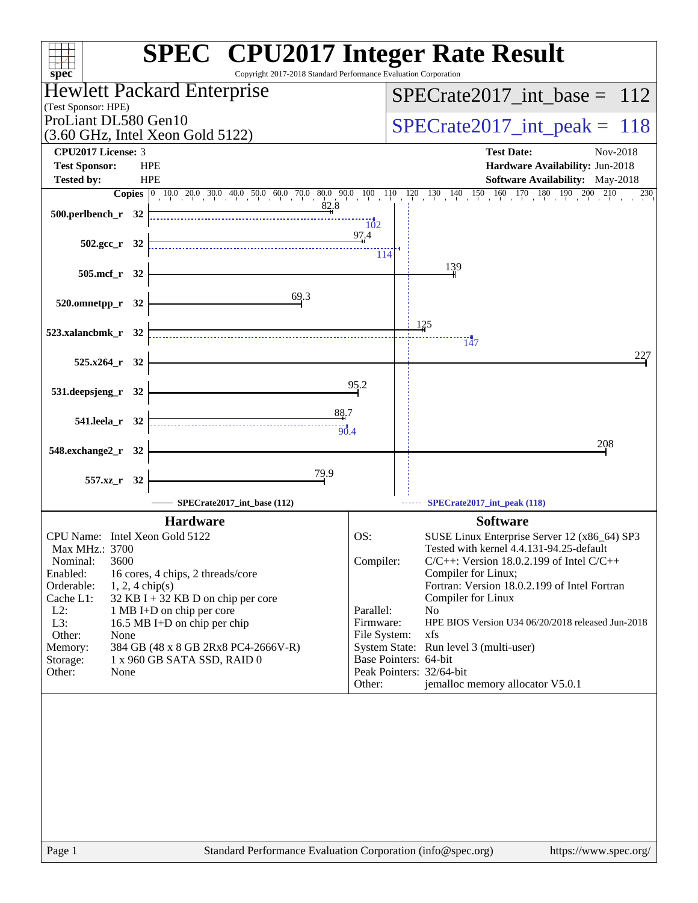| $spec^*$                                                                   | <b>SPEC<sup>®</sup> CPU2017 Integer Rate Result</b><br>Copyright 2017-2018 Standard Performance Evaluation Corporation |
|----------------------------------------------------------------------------|------------------------------------------------------------------------------------------------------------------------|
| Hewlett Packard Enterprise                                                 | $SPECrate2017\_int\_base = 112$                                                                                        |
| (Test Sponsor: HPE)                                                        |                                                                                                                        |
| ProLiant DL580 Gen10                                                       | $SPECrate2017\_int\_peak = 118$                                                                                        |
| $(3.60 \text{ GHz}, \text{Intel Xeon Gold } 5122)$                         |                                                                                                                        |
| CPU2017 License: 3                                                         | <b>Test Date:</b><br>Nov-2018                                                                                          |
| <b>Test Sponsor:</b><br><b>HPE</b>                                         | Hardware Availability: Jun-2018                                                                                        |
| <b>Tested by:</b><br><b>HPE</b>                                            | Software Availability: May-2018<br>210                                                                                 |
| 82.8                                                                       | Copies 0 10.0 20.0 30.0 40.0 50.0 60.0 70.0 80.0 90.0 100 110 120 130 140 150 160 170 180 190 200 2<br>230             |
| 500.perlbench_r 32                                                         | 102                                                                                                                    |
|                                                                            | 97.4                                                                                                                   |
| $502.\text{gcc r}$ 32                                                      | 114                                                                                                                    |
|                                                                            | 139                                                                                                                    |
| 505.mcf_r 32                                                               |                                                                                                                        |
| 69.3<br>520.omnetpp_r 32                                                   |                                                                                                                        |
|                                                                            |                                                                                                                        |
| 523.xalancbmk_r 32                                                         | <u>125</u>                                                                                                             |
|                                                                            | 147                                                                                                                    |
| 525.x264 r 32                                                              | 227                                                                                                                    |
|                                                                            |                                                                                                                        |
| 531.deepsjeng_r 32                                                         | 95.2                                                                                                                   |
| 88.7                                                                       |                                                                                                                        |
| 541.leela_r 32<br>$\overbrace{90.4}$                                       |                                                                                                                        |
|                                                                            | 208                                                                                                                    |
| 548.exchange2_r 32                                                         |                                                                                                                        |
| 79.9<br>557.xz_r 32                                                        |                                                                                                                        |
|                                                                            |                                                                                                                        |
| SPECrate2017_int_base (112)                                                | SPECrate2017_int_peak (118)                                                                                            |
| <b>Hardware</b>                                                            | <b>Software</b>                                                                                                        |
| CPU Name: Intel Xeon Gold 5122                                             | OS:<br>SUSE Linux Enterprise Server 12 (x86_64) SP3                                                                    |
| Max MHz.: 3700<br>Nominal:                                                 | Tested with kernel 4.4.131-94.25-default<br>Compiler:                                                                  |
| 3600<br>Enabled:<br>16 cores, 4 chips, 2 threads/core                      | $C/C++$ : Version 18.0.2.199 of Intel $C/C++$<br>Compiler for Linux;                                                   |
| Orderable:<br>$1, 2, 4$ chip(s)                                            | Fortran: Version 18.0.2.199 of Intel Fortran                                                                           |
| Cache L1:<br>$32$ KB I + 32 KB D on chip per core                          | Compiler for Linux                                                                                                     |
| $L2$ :<br>1 MB I+D on chip per core<br>L3:<br>16.5 MB I+D on chip per chip | Parallel:<br>N <sub>0</sub><br>HPE BIOS Version U34 06/20/2018 released Jun-2018<br>Firmware:                          |
| Other:<br>None                                                             | File System:<br>xfs                                                                                                    |
| 384 GB (48 x 8 GB 2Rx8 PC4-2666V-R)<br>Memory:                             | System State: Run level 3 (multi-user)                                                                                 |
| 1 x 960 GB SATA SSD, RAID 0<br>Storage:<br>Other:<br>None                  | Base Pointers: 64-bit<br>Peak Pointers: 32/64-bit                                                                      |
|                                                                            | jemalloc memory allocator V5.0.1<br>Other:                                                                             |
|                                                                            |                                                                                                                        |
|                                                                            |                                                                                                                        |
|                                                                            |                                                                                                                        |
|                                                                            |                                                                                                                        |
|                                                                            |                                                                                                                        |
|                                                                            |                                                                                                                        |
|                                                                            |                                                                                                                        |
|                                                                            |                                                                                                                        |
|                                                                            |                                                                                                                        |
|                                                                            |                                                                                                                        |
| Page 1                                                                     | Standard Performance Evaluation Corporation (info@spec.org)<br>https://www.spec.org/                                   |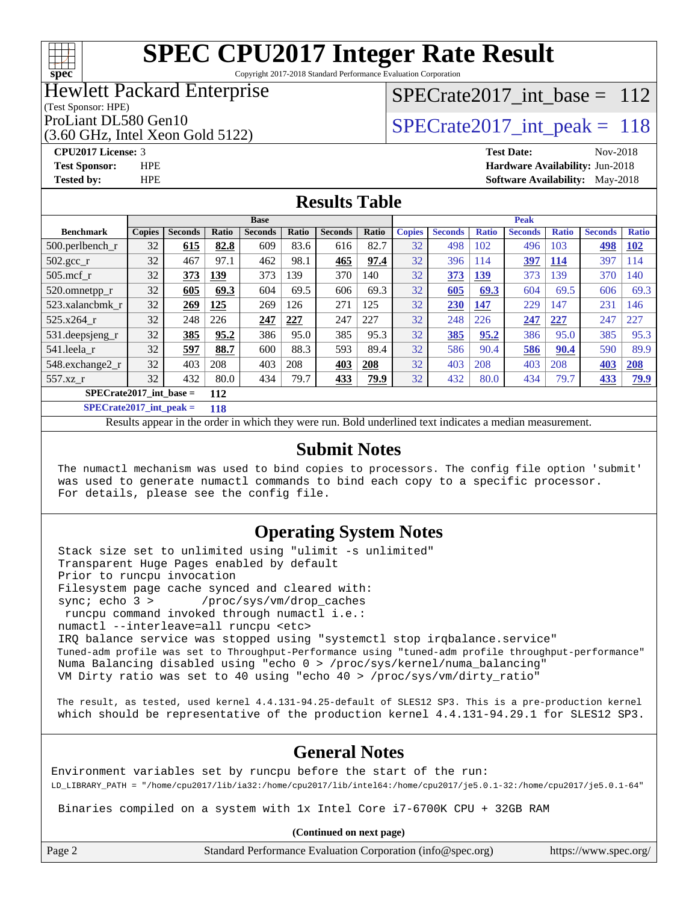# **[spec](http://www.spec.org/)**

# **[SPEC CPU2017 Integer Rate Result](http://www.spec.org/auto/cpu2017/Docs/result-fields.html#SPECCPU2017IntegerRateResult)**

Copyright 2017-2018 Standard Performance Evaluation Corporation

## Hewlett Packard Enterprise

### (Test Sponsor: HPE)

(3.60 GHz, Intel Xeon Gold 5122)

# [SPECrate2017\\_int\\_base =](http://www.spec.org/auto/cpu2017/Docs/result-fields.html#SPECrate2017intbase) 112

# ProLiant DL580 Gen10<br>  $SPECTate2017$ \_int\_peak = 118

**[CPU2017 License:](http://www.spec.org/auto/cpu2017/Docs/result-fields.html#CPU2017License)** 3 **[Test Date:](http://www.spec.org/auto/cpu2017/Docs/result-fields.html#TestDate)** Nov-2018 **[Test Sponsor:](http://www.spec.org/auto/cpu2017/Docs/result-fields.html#TestSponsor)** HPE **[Hardware Availability:](http://www.spec.org/auto/cpu2017/Docs/result-fields.html#HardwareAvailability)** Jun-2018 **[Tested by:](http://www.spec.org/auto/cpu2017/Docs/result-fields.html#Testedby)** HPE **[Software Availability:](http://www.spec.org/auto/cpu2017/Docs/result-fields.html#SoftwareAvailability)** May-2018

## **[Results Table](http://www.spec.org/auto/cpu2017/Docs/result-fields.html#ResultsTable)**

|                           | <b>Base</b>   |                |       |                | <b>Peak</b> |                |       |               |                |              |                |              |                |              |
|---------------------------|---------------|----------------|-------|----------------|-------------|----------------|-------|---------------|----------------|--------------|----------------|--------------|----------------|--------------|
| <b>Benchmark</b>          | <b>Copies</b> | <b>Seconds</b> | Ratio | <b>Seconds</b> | Ratio       | <b>Seconds</b> | Ratio | <b>Copies</b> | <b>Seconds</b> | <b>Ratio</b> | <b>Seconds</b> | <b>Ratio</b> | <b>Seconds</b> | <b>Ratio</b> |
| $500.$ perlbench_r        | 32            | 615            | 82.8  | 609            | 83.6        | 616            | 82.7  | 32            | 498            | 102          | 496            | 103          | 498            | <b>102</b>   |
| 502.gcc_r                 | 32            | 467            | 97.1  | 462            | 98.1        | 465            | 97.4  | 32            | 396            | 114          | 397            | <b>114</b>   | 397            | 114          |
| $505$ .mcf r              | 32            | 373            | 139   | 373            | 139         | 370            | 140   | 32            | 373            | 139          | 373            | 139          | 370            | 140          |
| 520.omnetpp_r             | 32            | 605            | 69.3  | 604            | 69.5        | 606            | 69.3  | 32            | 605            | 69.3         | 604            | 69.5         | 606            | 69.3         |
| 523.xalancbmk r           | 32            | 269            | 125   | 269            | 126         | 271            | 125   | 32            | <b>230</b>     | 147          | 229            | 147          | 231            | 146          |
| $525.x264$ r              | 32            | 248            | 226   | 247            | 227         | 247            | 227   | 32            | 248            | 226          | 247            | 227          | 247            | 227          |
| 531.deepsjeng_r           | 32            | 385            | 95.2  | 386            | 95.0        | 385            | 95.3  | 32            | <b>385</b>     | 95.2         | 386            | 95.0         | 385            | 95.3         |
| 541.leela r               | 32            | 597            | 88.7  | 600            | 88.3        | 593            | 89.4  | 32            | 586            | 90.4         | 586            | 90.4         | 590            | 89.9         |
| 548.exchange2_r           | 32            | 403            | 208   | 403            | 208         | 403            | 208   | 32            | 403            | 208          | 403            | 208          | 403            | 208          |
| 557.xz r                  | 32            | 432            | 80.0  | 434            | 79.7        | 433            | 79.9  | 32            | 432            | 80.0         | 434            | 79.7         | 433            | 79.9         |
| $SPECrate2017$ int base = |               |                | 112   |                |             |                |       |               |                |              |                |              |                |              |

**[SPECrate2017\\_int\\_peak =](http://www.spec.org/auto/cpu2017/Docs/result-fields.html#SPECrate2017intpeak) 118**

Results appear in the [order in which they were run.](http://www.spec.org/auto/cpu2017/Docs/result-fields.html#RunOrder) Bold underlined text [indicates a median measurement.](http://www.spec.org/auto/cpu2017/Docs/result-fields.html#Median)

### **[Submit Notes](http://www.spec.org/auto/cpu2017/Docs/result-fields.html#SubmitNotes)**

 The numactl mechanism was used to bind copies to processors. The config file option 'submit' was used to generate numactl commands to bind each copy to a specific processor. For details, please see the config file.

### **[Operating System Notes](http://www.spec.org/auto/cpu2017/Docs/result-fields.html#OperatingSystemNotes)**

 Stack size set to unlimited using "ulimit -s unlimited" Transparent Huge Pages enabled by default Prior to runcpu invocation Filesystem page cache synced and cleared with: sync; echo 3 > /proc/sys/vm/drop\_caches runcpu command invoked through numactl i.e.: numactl --interleave=all runcpu <etc> IRQ balance service was stopped using "systemctl stop irqbalance.service" Tuned-adm profile was set to Throughput-Performance using "tuned-adm profile throughput-performance" Numa Balancing disabled using "echo 0 > /proc/sys/kernel/numa\_balancing" VM Dirty ratio was set to 40 using "echo 40 > /proc/sys/vm/dirty\_ratio"

 The result, as tested, used kernel 4.4.131-94.25-default of SLES12 SP3. This is a pre-production kernel which should be representative of the production kernel 4.4.131-94.29.1 for SLES12 SP3.

## **[General Notes](http://www.spec.org/auto/cpu2017/Docs/result-fields.html#GeneralNotes)**

Environment variables set by runcpu before the start of the run: LD\_LIBRARY\_PATH = "/home/cpu2017/lib/ia32:/home/cpu2017/lib/intel64:/home/cpu2017/je5.0.1-32:/home/cpu2017/je5.0.1-64"

Binaries compiled on a system with 1x Intel Core i7-6700K CPU + 32GB RAM

**(Continued on next page)**

Page 2 Standard Performance Evaluation Corporation [\(info@spec.org\)](mailto:info@spec.org) <https://www.spec.org/>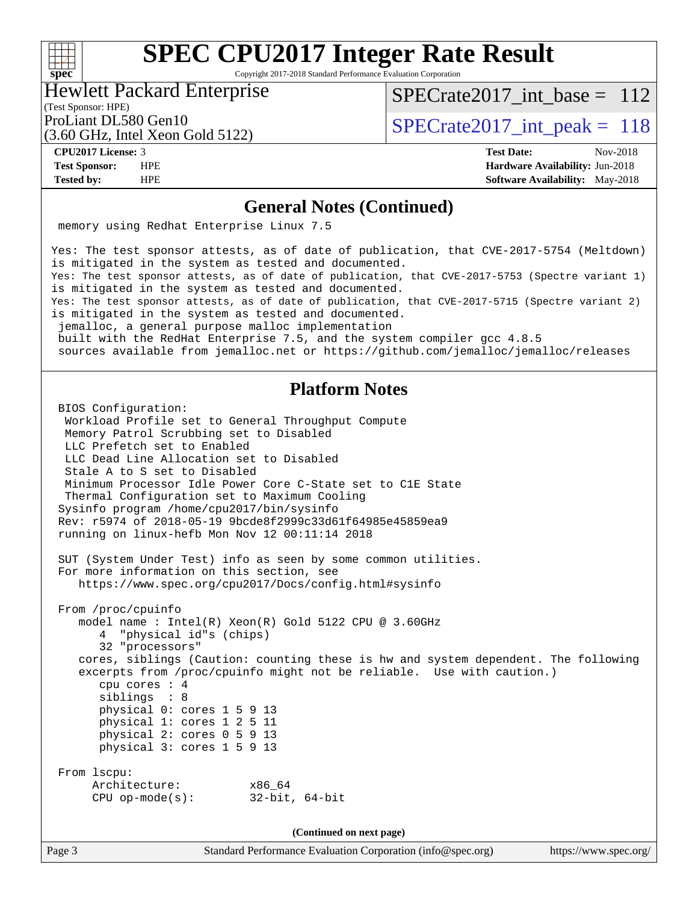## $+\,$ H **[spec](http://www.spec.org/)**

# **[SPEC CPU2017 Integer Rate Result](http://www.spec.org/auto/cpu2017/Docs/result-fields.html#SPECCPU2017IntegerRateResult)**

Copyright 2017-2018 Standard Performance Evaluation Corporation

### Hewlett Packard Enterprise

[SPECrate2017\\_int\\_base =](http://www.spec.org/auto/cpu2017/Docs/result-fields.html#SPECrate2017intbase) 112

# (Test Sponsor: HPE)

(3.60 GHz, Intel Xeon Gold 5122)

ProLiant DL580 Gen10<br>  $SPECTate2017$ \_int\_peak = 118

**[CPU2017 License:](http://www.spec.org/auto/cpu2017/Docs/result-fields.html#CPU2017License)** 3 **[Test Date:](http://www.spec.org/auto/cpu2017/Docs/result-fields.html#TestDate)** Nov-2018 **[Test Sponsor:](http://www.spec.org/auto/cpu2017/Docs/result-fields.html#TestSponsor)** HPE **[Hardware Availability:](http://www.spec.org/auto/cpu2017/Docs/result-fields.html#HardwareAvailability)** Jun-2018 **[Tested by:](http://www.spec.org/auto/cpu2017/Docs/result-fields.html#Testedby)** HPE **[Software Availability:](http://www.spec.org/auto/cpu2017/Docs/result-fields.html#SoftwareAvailability)** May-2018

### **[General Notes \(Continued\)](http://www.spec.org/auto/cpu2017/Docs/result-fields.html#GeneralNotes)**

memory using Redhat Enterprise Linux 7.5

Yes: The test sponsor attests, as of date of publication, that CVE-2017-5754 (Meltdown) is mitigated in the system as tested and documented. Yes: The test sponsor attests, as of date of publication, that CVE-2017-5753 (Spectre variant 1) is mitigated in the system as tested and documented. Yes: The test sponsor attests, as of date of publication, that CVE-2017-5715 (Spectre variant 2) is mitigated in the system as tested and documented. jemalloc, a general purpose malloc implementation built with the RedHat Enterprise 7.5, and the system compiler gcc 4.8.5

sources available from jemalloc.net or<https://github.com/jemalloc/jemalloc/releases>

## **[Platform Notes](http://www.spec.org/auto/cpu2017/Docs/result-fields.html#PlatformNotes)**

 BIOS Configuration: Workload Profile set to General Throughput Compute Memory Patrol Scrubbing set to Disabled LLC Prefetch set to Enabled LLC Dead Line Allocation set to Disabled Stale A to S set to Disabled Minimum Processor Idle Power Core C-State set to C1E State Thermal Configuration set to Maximum Cooling Sysinfo program /home/cpu2017/bin/sysinfo Rev: r5974 of 2018-05-19 9bcde8f2999c33d61f64985e45859ea9 running on linux-hefb Mon Nov 12 00:11:14 2018 SUT (System Under Test) info as seen by some common utilities. For more information on this section, see <https://www.spec.org/cpu2017/Docs/config.html#sysinfo> From /proc/cpuinfo model name : Intel(R) Xeon(R) Gold 5122 CPU @ 3.60GHz 4 "physical id"s (chips) 32 "processors" cores, siblings (Caution: counting these is hw and system dependent. The following excerpts from /proc/cpuinfo might not be reliable. Use with caution.) cpu cores : 4 siblings : 8 physical 0: cores 1 5 9 13 physical 1: cores 1 2 5 11 physical 2: cores 0 5 9 13 physical 3: cores 1 5 9 13 From lscpu: Architecture: x86\_64 CPU op-mode(s): 32-bit, 64-bit

**(Continued on next page)**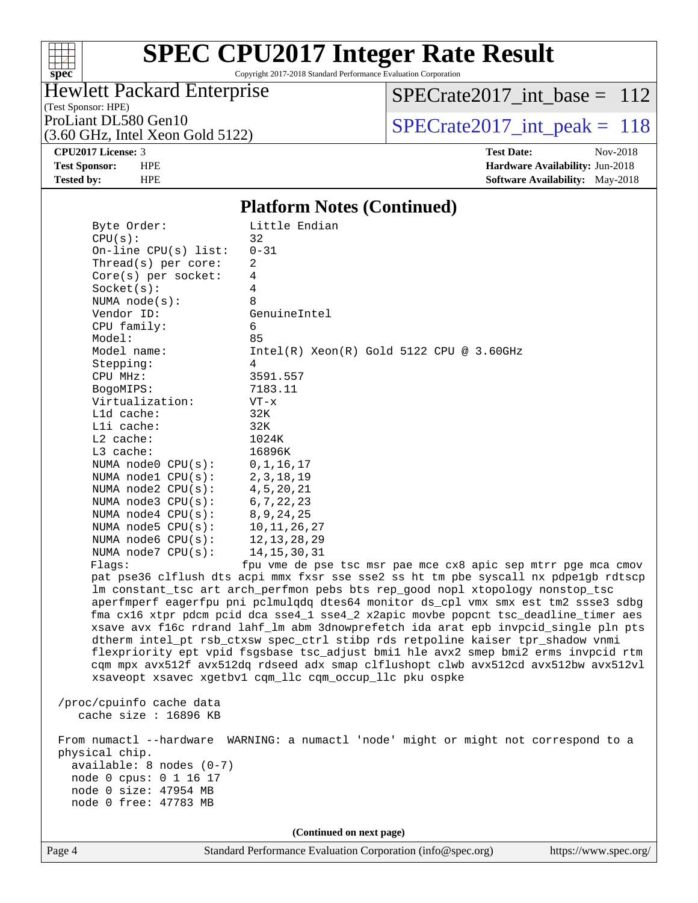

Copyright 2017-2018 Standard Performance Evaluation Corporation

# Hewlett Packard Enterprise

(Test Sponsor: HPE)

(3.60 GHz, Intel Xeon Gold 5122)

[SPECrate2017\\_int\\_base =](http://www.spec.org/auto/cpu2017/Docs/result-fields.html#SPECrate2017intbase) 112

ProLiant DL580 Gen10<br>  $(3.60 \text{ GHz})$  Intel Xeon Gold 5122)

**[CPU2017 License:](http://www.spec.org/auto/cpu2017/Docs/result-fields.html#CPU2017License)** 3 **[Test Date:](http://www.spec.org/auto/cpu2017/Docs/result-fields.html#TestDate)** Nov-2018 **[Test Sponsor:](http://www.spec.org/auto/cpu2017/Docs/result-fields.html#TestSponsor)** HPE **[Hardware Availability:](http://www.spec.org/auto/cpu2017/Docs/result-fields.html#HardwareAvailability)** Jun-2018 **[Tested by:](http://www.spec.org/auto/cpu2017/Docs/result-fields.html#Testedby)** HPE **[Software Availability:](http://www.spec.org/auto/cpu2017/Docs/result-fields.html#SoftwareAvailability)** May-2018

### **[Platform Notes \(Continued\)](http://www.spec.org/auto/cpu2017/Docs/result-fields.html#PlatformNotes)**

| Byte Order:<br>CPU(s):     | Little Endian<br>32                                                                                                                                  |  |  |  |  |  |
|----------------------------|------------------------------------------------------------------------------------------------------------------------------------------------------|--|--|--|--|--|
| On-line $CPU(s)$ list:     | $0 - 31$                                                                                                                                             |  |  |  |  |  |
| Thread(s) per core:        | 2                                                                                                                                                    |  |  |  |  |  |
| Core(s) per socket:        | 4                                                                                                                                                    |  |  |  |  |  |
| Socket(s):                 | 4                                                                                                                                                    |  |  |  |  |  |
| NUMA $node(s)$ :           | 8                                                                                                                                                    |  |  |  |  |  |
| Vendor ID:                 | GenuineIntel                                                                                                                                         |  |  |  |  |  |
| CPU family:                | 6                                                                                                                                                    |  |  |  |  |  |
| Model:                     | 85                                                                                                                                                   |  |  |  |  |  |
| Model name:                | $Intel(R) Xeon(R) Gold 5122 CPU @ 3.60GHz$                                                                                                           |  |  |  |  |  |
| Stepping:                  | 4                                                                                                                                                    |  |  |  |  |  |
| CPU MHz:                   | 3591.557                                                                                                                                             |  |  |  |  |  |
| BogoMIPS:                  | 7183.11                                                                                                                                              |  |  |  |  |  |
| Virtualization:            | $VT - x$                                                                                                                                             |  |  |  |  |  |
| L1d cache:                 | 32K                                                                                                                                                  |  |  |  |  |  |
| Lli cache:                 | 32K                                                                                                                                                  |  |  |  |  |  |
| $L2$ cache:                | 1024K                                                                                                                                                |  |  |  |  |  |
| L3 cache:                  | 16896K                                                                                                                                               |  |  |  |  |  |
| NUMA node0 CPU(s):         | 0, 1, 16, 17                                                                                                                                         |  |  |  |  |  |
| NUMA $node1$ $CPU(s):$     | 2, 3, 18, 19                                                                                                                                         |  |  |  |  |  |
| NUMA $node2$ $CPU(s):$     | 4, 5, 20, 21                                                                                                                                         |  |  |  |  |  |
| NUMA $node3$ $CPU(s):$     | 6, 7, 22, 23                                                                                                                                         |  |  |  |  |  |
| NUMA $node4$ $CPU(s):$     | 8, 9, 24, 25                                                                                                                                         |  |  |  |  |  |
| NUMA $node5$ $CPU(s):$     | 10, 11, 26, 27                                                                                                                                       |  |  |  |  |  |
| NUMA node6 CPU(s):         | 12, 13, 28, 29                                                                                                                                       |  |  |  |  |  |
| NUMA node7 CPU(s):         | 14, 15, 30, 31                                                                                                                                       |  |  |  |  |  |
| Flagg:                     | fpu vme de pse tsc msr pae mce cx8 apic sep mtrr pge mca cmov<br>pat pse36 clflush dts acpi mmx fxsr sse sse2 ss ht tm pbe syscall nx pdpe1gb rdtscp |  |  |  |  |  |
|                            | lm constant_tsc art arch_perfmon pebs bts rep_good nopl xtopology nonstop_tsc                                                                        |  |  |  |  |  |
|                            | aperfmperf eagerfpu pni pclmulqdq dtes64 monitor ds_cpl vmx smx est tm2 ssse3 sdbg                                                                   |  |  |  |  |  |
|                            | fma cx16 xtpr pdcm pcid dca sse4_1 sse4_2 x2apic movbe popcnt tsc_deadline_timer aes                                                                 |  |  |  |  |  |
|                            | xsave avx f16c rdrand lahf_lm abm 3dnowprefetch ida arat epb invpcid_single pln pts                                                                  |  |  |  |  |  |
|                            | dtherm intel_pt rsb_ctxsw spec_ctrl stibp rds retpoline kaiser tpr_shadow vnmi                                                                       |  |  |  |  |  |
|                            | flexpriority ept vpid fsgsbase tsc_adjust bmil hle avx2 smep bmi2 erms invpcid rtm                                                                   |  |  |  |  |  |
|                            | cqm mpx avx512f avx512dq rdseed adx smap clflushopt clwb avx512cd avx512bw avx512vl                                                                  |  |  |  |  |  |
|                            | xsaveopt xsavec xgetbvl cqm_llc cqm_occup_llc pku ospke                                                                                              |  |  |  |  |  |
|                            |                                                                                                                                                      |  |  |  |  |  |
| /proc/cpuinfo cache data   |                                                                                                                                                      |  |  |  |  |  |
| cache size $: 16896$ KB    |                                                                                                                                                      |  |  |  |  |  |
|                            |                                                                                                                                                      |  |  |  |  |  |
|                            | From numactl --hardware WARNING: a numactl 'node' might or might not correspond to a                                                                 |  |  |  |  |  |
| physical chip.             |                                                                                                                                                      |  |  |  |  |  |
| $available: 8 nodes (0-7)$ |                                                                                                                                                      |  |  |  |  |  |
| node 0 cpus: 0 1 16 17     |                                                                                                                                                      |  |  |  |  |  |
| node 0 size: 47954 MB      |                                                                                                                                                      |  |  |  |  |  |
| node 0 free: 47783 MB      |                                                                                                                                                      |  |  |  |  |  |
|                            |                                                                                                                                                      |  |  |  |  |  |
|                            | (Continued on next page)                                                                                                                             |  |  |  |  |  |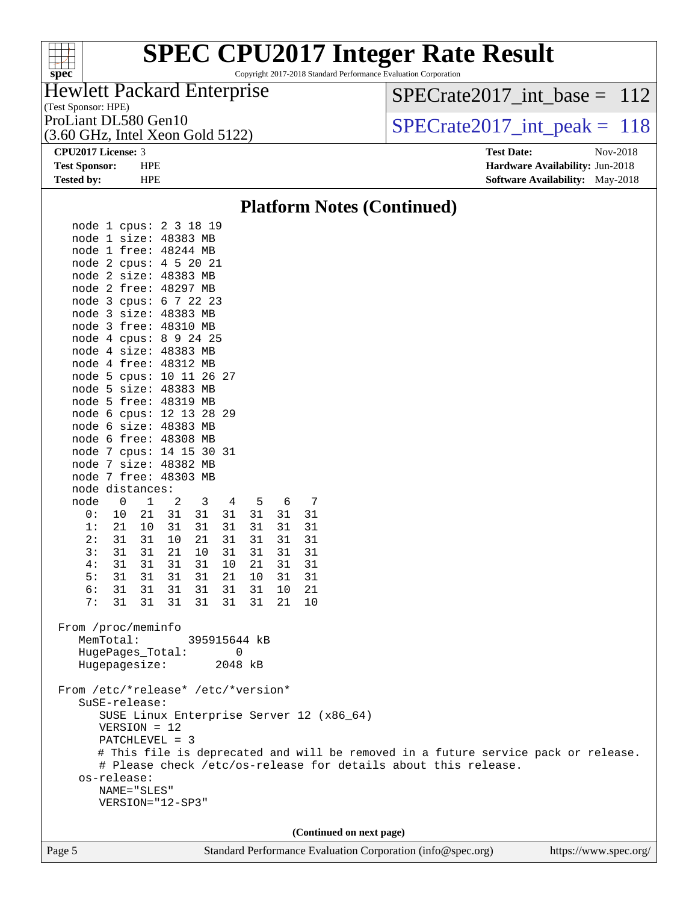

Copyright 2017-2018 Standard Performance Evaluation Corporation

## Hewlett Packard Enterprise

(3.60 GHz, Intel Xeon Gold 5122)

[SPECrate2017\\_int\\_base =](http://www.spec.org/auto/cpu2017/Docs/result-fields.html#SPECrate2017intbase) 112

(Test Sponsor: HPE)

ProLiant DL580 Gen10<br>(3.60 GHz, Intel Xeon Gold 5122)  $\text{SPECrate2017\_int\_peak} = 118$ 

**[CPU2017 License:](http://www.spec.org/auto/cpu2017/Docs/result-fields.html#CPU2017License)** 3 **[Test Date:](http://www.spec.org/auto/cpu2017/Docs/result-fields.html#TestDate)** Nov-2018 **[Test Sponsor:](http://www.spec.org/auto/cpu2017/Docs/result-fields.html#TestSponsor)** HPE **[Hardware Availability:](http://www.spec.org/auto/cpu2017/Docs/result-fields.html#HardwareAvailability)** Jun-2018 **[Tested by:](http://www.spec.org/auto/cpu2017/Docs/result-fields.html#Testedby)** HPE **HPE [Software Availability:](http://www.spec.org/auto/cpu2017/Docs/result-fields.html#SoftwareAvailability)** May-2018

### Page 5 Standard Performance Evaluation Corporation [\(info@spec.org\)](mailto:info@spec.org) <https://www.spec.org/> **[Platform Notes \(Continued\)](http://www.spec.org/auto/cpu2017/Docs/result-fields.html#PlatformNotes)** node 1 cpus: 2 3 18 19 node 1 size: 48383 MB node 1 free: 48244 MB node 2 cpus: 4 5 20 21 node 2 size: 48383 MB node 2 free: 48297 MB node 3 cpus: 6 7 22 23 node 3 size: 48383 MB node 3 free: 48310 MB node 4 cpus: 8 9 24 25 node 4 size: 48383 MB node 4 free: 48312 MB node 5 cpus: 10 11 26 27 node 5 size: 48383 MB node 5 free: 48319 MB node 6 cpus: 12 13 28 29 node 6 size: 48383 MB node 6 free: 48308 MB node 7 cpus: 14 15 30 31 node 7 size: 48382 MB node 7 free: 48303 MB node distances: node 0 1 2 3 4 5 6 7 0: 10 21 31 31 31 31 31 31 1: 21 10 31 31 31 31 31 31 2: 31 31 10 21 31 31 31 31 3: 31 31 21 10 31 31 31 31 4: 31 31 31 31 10 21 31 31 5: 31 31 31 31 21 10 31 31 6: 31 31 31 31 31 31 10 21 7: 31 31 31 31 31 31 21 10 From /proc/meminfo MemTotal: 395915644 kB HugePages\_Total: 0 Hugepagesize: 2048 kB From /etc/\*release\* /etc/\*version\* SuSE-release: SUSE Linux Enterprise Server 12 (x86\_64) VERSION = 12 PATCHLEVEL = 3 # This file is deprecated and will be removed in a future service pack or release. # Please check /etc/os-release for details about this release. os-release: NAME="SLES" VERSION="12-SP3" **(Continued on next page)**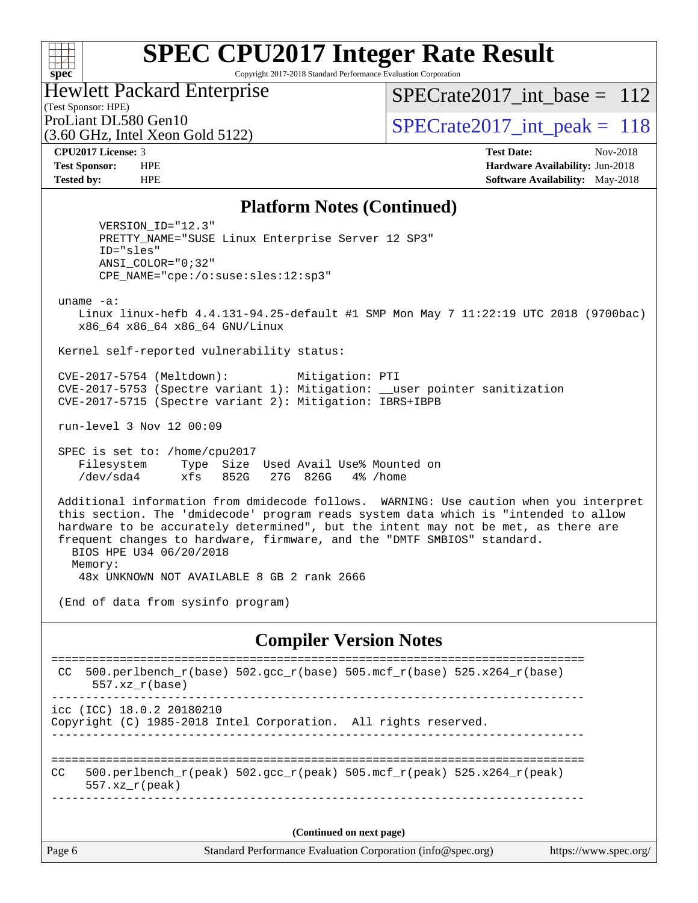## $\pm\pm\prime$ **[spec](http://www.spec.org/)**

# **[SPEC CPU2017 Integer Rate Result](http://www.spec.org/auto/cpu2017/Docs/result-fields.html#SPECCPU2017IntegerRateResult)**

Copyright 2017-2018 Standard Performance Evaluation Corporation

## Hewlett Packard Enterprise

(3.60 GHz, Intel Xeon Gold 5122)

[SPECrate2017\\_int\\_base =](http://www.spec.org/auto/cpu2017/Docs/result-fields.html#SPECrate2017intbase) 112

(Test Sponsor: HPE)

ProLiant DL580 Gen10<br>  $SPECTate2017$ \_int\_peak = 118

**[CPU2017 License:](http://www.spec.org/auto/cpu2017/Docs/result-fields.html#CPU2017License)** 3 **[Test Date:](http://www.spec.org/auto/cpu2017/Docs/result-fields.html#TestDate)** Nov-2018 **[Test Sponsor:](http://www.spec.org/auto/cpu2017/Docs/result-fields.html#TestSponsor)** HPE **[Hardware Availability:](http://www.spec.org/auto/cpu2017/Docs/result-fields.html#HardwareAvailability)** Jun-2018 **[Tested by:](http://www.spec.org/auto/cpu2017/Docs/result-fields.html#Testedby)** HPE **[Software Availability:](http://www.spec.org/auto/cpu2017/Docs/result-fields.html#SoftwareAvailability)** May-2018

### **[Platform Notes \(Continued\)](http://www.spec.org/auto/cpu2017/Docs/result-fields.html#PlatformNotes)**

 VERSION\_ID="12.3" PRETTY\_NAME="SUSE Linux Enterprise Server 12 SP3" ID="sles" ANSI\_COLOR="0;32" CPE\_NAME="cpe:/o:suse:sles:12:sp3"

uname -a:

 Linux linux-hefb 4.4.131-94.25-default #1 SMP Mon May 7 11:22:19 UTC 2018 (9700bac) x86\_64 x86\_64 x86\_64 GNU/Linux

Kernel self-reported vulnerability status:

 CVE-2017-5754 (Meltdown): Mitigation: PTI CVE-2017-5753 (Spectre variant 1): Mitigation: \_\_user pointer sanitization CVE-2017-5715 (Spectre variant 2): Mitigation: IBRS+IBPB

run-level 3 Nov 12 00:09

 SPEC is set to: /home/cpu2017 Filesystem Type Size Used Avail Use% Mounted on /dev/sda4 xfs 852G 27G 826G 4% /home

 Additional information from dmidecode follows. WARNING: Use caution when you interpret this section. The 'dmidecode' program reads system data which is "intended to allow hardware to be accurately determined", but the intent may not be met, as there are frequent changes to hardware, firmware, and the "DMTF SMBIOS" standard. BIOS HPE U34 06/20/2018 Memory:

48x UNKNOWN NOT AVAILABLE 8 GB 2 rank 2666

(End of data from sysinfo program)

### **[Compiler Version Notes](http://www.spec.org/auto/cpu2017/Docs/result-fields.html#CompilerVersionNotes)**

| CC.                      | $500. perlbench_r(base)$ 502.gcc_r(base) 505.mcf_r(base) 525.x264_r(base)<br>$557. xz_r(base)$ |  |  |  |  |  |
|--------------------------|------------------------------------------------------------------------------------------------|--|--|--|--|--|
|                          | icc (ICC) 18.0.2 20180210<br>Copyright (C) 1985-2018 Intel Corporation. All rights reserved.   |  |  |  |  |  |
| CC.                      | 500.perlbench r(peak) 502.gcc r(peak) 505.mcf r(peak) 525.x264 r(peak)<br>$557.xx$ $r$ (peak)  |  |  |  |  |  |
| (Continued on next page) |                                                                                                |  |  |  |  |  |
| Page 6                   | Standard Performance Evaluation Corporation (info@spec.org)<br>https://www.spec.org/           |  |  |  |  |  |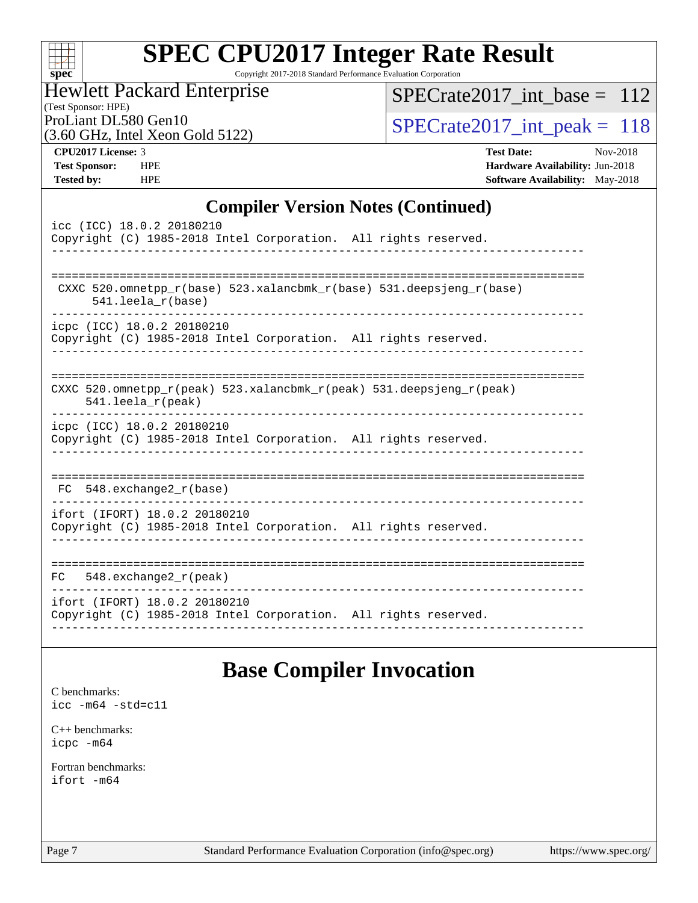| Sì | U | ť | C |  |
|----|---|---|---|--|

Copyright 2017-2018 Standard Performance Evaluation Corporation

## Hewlett Packard Enterprise

(Test Sponsor: HPE)

[SPECrate2017\\_int\\_base =](http://www.spec.org/auto/cpu2017/Docs/result-fields.html#SPECrate2017intbase) 112

(3.60 GHz, Intel Xeon Gold 5122)

ProLiant DL580 Gen10<br>  $(3.60 \text{ GHz})$  Intel Xeon Gold 5122)

**[CPU2017 License:](http://www.spec.org/auto/cpu2017/Docs/result-fields.html#CPU2017License)** 3 **[Test Date:](http://www.spec.org/auto/cpu2017/Docs/result-fields.html#TestDate)** Nov-2018 **[Test Sponsor:](http://www.spec.org/auto/cpu2017/Docs/result-fields.html#TestSponsor)** HPE **[Hardware Availability:](http://www.spec.org/auto/cpu2017/Docs/result-fields.html#HardwareAvailability)** Jun-2018 **[Tested by:](http://www.spec.org/auto/cpu2017/Docs/result-fields.html#Testedby)** HPE **[Software Availability:](http://www.spec.org/auto/cpu2017/Docs/result-fields.html#SoftwareAvailability)** May-2018

## **[Compiler Version Notes \(Continued\)](http://www.spec.org/auto/cpu2017/Docs/result-fields.html#CompilerVersionNotes)**

| icc (ICC) 18.0.2 20180210<br>Copyright (C) 1985-2018 Intel Corporation. All rights reserved.       |
|----------------------------------------------------------------------------------------------------|
| CXXC 520.omnetpp $r(base)$ 523.xalancbmk $r(base)$ 531.deepsjeng $r(base)$<br>$541.$ leela_r(base) |
| icpc (ICC) 18.0.2 20180210<br>Copyright (C) 1985-2018 Intel Corporation. All rights reserved.      |
| CXXC 520.omnetpp_r(peak) 523.xalancbmk_r(peak) 531.deepsjeng_r(peak)<br>$541.$ leela_r(peak)       |
| icpc (ICC) 18.0.2 20180210<br>Copyright (C) 1985-2018 Intel Corporation. All rights reserved.      |
| $FC 548. exchange2_r(base)$                                                                        |
| ifort (IFORT) 18.0.2 20180210<br>Copyright (C) 1985-2018 Intel Corporation. All rights reserved.   |
| $FC$ 548. exchange 2 $r$ (peak)                                                                    |
| ifort (IFORT) 18.0.2 20180210<br>Copyright (C) 1985-2018 Intel Corporation. All rights reserved.   |

# **[Base Compiler Invocation](http://www.spec.org/auto/cpu2017/Docs/result-fields.html#BaseCompilerInvocation)**

[C benchmarks](http://www.spec.org/auto/cpu2017/Docs/result-fields.html#Cbenchmarks): [icc -m64 -std=c11](http://www.spec.org/cpu2017/results/res2018q4/cpu2017-20181130-10005.flags.html#user_CCbase_intel_icc_64bit_c11_33ee0cdaae7deeeab2a9725423ba97205ce30f63b9926c2519791662299b76a0318f32ddfffdc46587804de3178b4f9328c46fa7c2b0cd779d7a61945c91cd35)

[C++ benchmarks:](http://www.spec.org/auto/cpu2017/Docs/result-fields.html#CXXbenchmarks) [icpc -m64](http://www.spec.org/cpu2017/results/res2018q4/cpu2017-20181130-10005.flags.html#user_CXXbase_intel_icpc_64bit_4ecb2543ae3f1412ef961e0650ca070fec7b7afdcd6ed48761b84423119d1bf6bdf5cad15b44d48e7256388bc77273b966e5eb805aefd121eb22e9299b2ec9d9)

[Fortran benchmarks](http://www.spec.org/auto/cpu2017/Docs/result-fields.html#Fortranbenchmarks): [ifort -m64](http://www.spec.org/cpu2017/results/res2018q4/cpu2017-20181130-10005.flags.html#user_FCbase_intel_ifort_64bit_24f2bb282fbaeffd6157abe4f878425411749daecae9a33200eee2bee2fe76f3b89351d69a8130dd5949958ce389cf37ff59a95e7a40d588e8d3a57e0c3fd751)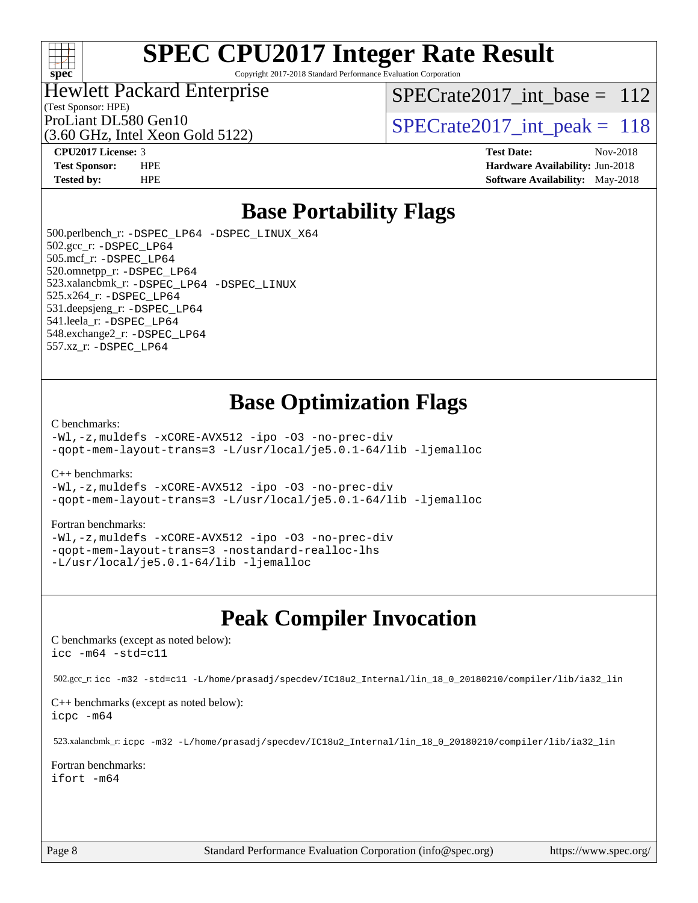

Copyright 2017-2018 Standard Performance Evaluation Corporation

### Hewlett Packard Enterprise

(Test Sponsor: HPE)

[SPECrate2017\\_int\\_base =](http://www.spec.org/auto/cpu2017/Docs/result-fields.html#SPECrate2017intbase) 112

(3.60 GHz, Intel Xeon Gold 5122)

ProLiant DL580 Gen10<br>  $SPECTate2017$ \_int\_peak = 118

**[CPU2017 License:](http://www.spec.org/auto/cpu2017/Docs/result-fields.html#CPU2017License)** 3 **[Test Date:](http://www.spec.org/auto/cpu2017/Docs/result-fields.html#TestDate)** Nov-2018 **[Test Sponsor:](http://www.spec.org/auto/cpu2017/Docs/result-fields.html#TestSponsor)** HPE **[Hardware Availability:](http://www.spec.org/auto/cpu2017/Docs/result-fields.html#HardwareAvailability)** Jun-2018 **[Tested by:](http://www.spec.org/auto/cpu2017/Docs/result-fields.html#Testedby)** HPE **[Software Availability:](http://www.spec.org/auto/cpu2017/Docs/result-fields.html#SoftwareAvailability)** May-2018

# **[Base Portability Flags](http://www.spec.org/auto/cpu2017/Docs/result-fields.html#BasePortabilityFlags)**

 500.perlbench\_r: [-DSPEC\\_LP64](http://www.spec.org/cpu2017/results/res2018q4/cpu2017-20181130-10005.flags.html#b500.perlbench_r_basePORTABILITY_DSPEC_LP64) [-DSPEC\\_LINUX\\_X64](http://www.spec.org/cpu2017/results/res2018q4/cpu2017-20181130-10005.flags.html#b500.perlbench_r_baseCPORTABILITY_DSPEC_LINUX_X64) 502.gcc\_r: [-DSPEC\\_LP64](http://www.spec.org/cpu2017/results/res2018q4/cpu2017-20181130-10005.flags.html#suite_basePORTABILITY502_gcc_r_DSPEC_LP64) 505.mcf\_r: [-DSPEC\\_LP64](http://www.spec.org/cpu2017/results/res2018q4/cpu2017-20181130-10005.flags.html#suite_basePORTABILITY505_mcf_r_DSPEC_LP64) 520.omnetpp\_r: [-DSPEC\\_LP64](http://www.spec.org/cpu2017/results/res2018q4/cpu2017-20181130-10005.flags.html#suite_basePORTABILITY520_omnetpp_r_DSPEC_LP64) 523.xalancbmk\_r: [-DSPEC\\_LP64](http://www.spec.org/cpu2017/results/res2018q4/cpu2017-20181130-10005.flags.html#suite_basePORTABILITY523_xalancbmk_r_DSPEC_LP64) [-DSPEC\\_LINUX](http://www.spec.org/cpu2017/results/res2018q4/cpu2017-20181130-10005.flags.html#b523.xalancbmk_r_baseCXXPORTABILITY_DSPEC_LINUX) 525.x264\_r: [-DSPEC\\_LP64](http://www.spec.org/cpu2017/results/res2018q4/cpu2017-20181130-10005.flags.html#suite_basePORTABILITY525_x264_r_DSPEC_LP64) 531.deepsjeng\_r: [-DSPEC\\_LP64](http://www.spec.org/cpu2017/results/res2018q4/cpu2017-20181130-10005.flags.html#suite_basePORTABILITY531_deepsjeng_r_DSPEC_LP64) 541.leela\_r: [-DSPEC\\_LP64](http://www.spec.org/cpu2017/results/res2018q4/cpu2017-20181130-10005.flags.html#suite_basePORTABILITY541_leela_r_DSPEC_LP64) 548.exchange2\_r: [-DSPEC\\_LP64](http://www.spec.org/cpu2017/results/res2018q4/cpu2017-20181130-10005.flags.html#suite_basePORTABILITY548_exchange2_r_DSPEC_LP64) 557.xz\_r: [-DSPEC\\_LP64](http://www.spec.org/cpu2017/results/res2018q4/cpu2017-20181130-10005.flags.html#suite_basePORTABILITY557_xz_r_DSPEC_LP64)

# **[Base Optimization Flags](http://www.spec.org/auto/cpu2017/Docs/result-fields.html#BaseOptimizationFlags)**

### [C benchmarks](http://www.spec.org/auto/cpu2017/Docs/result-fields.html#Cbenchmarks):

[-Wl,-z,muldefs](http://www.spec.org/cpu2017/results/res2018q4/cpu2017-20181130-10005.flags.html#user_CCbase_link_force_multiple1_b4cbdb97b34bdee9ceefcfe54f4c8ea74255f0b02a4b23e853cdb0e18eb4525ac79b5a88067c842dd0ee6996c24547a27a4b99331201badda8798ef8a743f577) [-xCORE-AVX512](http://www.spec.org/cpu2017/results/res2018q4/cpu2017-20181130-10005.flags.html#user_CCbase_f-xCORE-AVX512) [-ipo](http://www.spec.org/cpu2017/results/res2018q4/cpu2017-20181130-10005.flags.html#user_CCbase_f-ipo) [-O3](http://www.spec.org/cpu2017/results/res2018q4/cpu2017-20181130-10005.flags.html#user_CCbase_f-O3) [-no-prec-div](http://www.spec.org/cpu2017/results/res2018q4/cpu2017-20181130-10005.flags.html#user_CCbase_f-no-prec-div) [-qopt-mem-layout-trans=3](http://www.spec.org/cpu2017/results/res2018q4/cpu2017-20181130-10005.flags.html#user_CCbase_f-qopt-mem-layout-trans_de80db37974c74b1f0e20d883f0b675c88c3b01e9d123adea9b28688d64333345fb62bc4a798493513fdb68f60282f9a726aa07f478b2f7113531aecce732043) [-L/usr/local/je5.0.1-64/lib](http://www.spec.org/cpu2017/results/res2018q4/cpu2017-20181130-10005.flags.html#user_CCbase_jemalloc_link_path64_4b10a636b7bce113509b17f3bd0d6226c5fb2346b9178c2d0232c14f04ab830f976640479e5c33dc2bcbbdad86ecfb6634cbbd4418746f06f368b512fced5394) [-ljemalloc](http://www.spec.org/cpu2017/results/res2018q4/cpu2017-20181130-10005.flags.html#user_CCbase_jemalloc_link_lib_d1249b907c500fa1c0672f44f562e3d0f79738ae9e3c4a9c376d49f265a04b9c99b167ecedbf6711b3085be911c67ff61f150a17b3472be731631ba4d0471706)

[C++ benchmarks:](http://www.spec.org/auto/cpu2017/Docs/result-fields.html#CXXbenchmarks)

[-Wl,-z,muldefs](http://www.spec.org/cpu2017/results/res2018q4/cpu2017-20181130-10005.flags.html#user_CXXbase_link_force_multiple1_b4cbdb97b34bdee9ceefcfe54f4c8ea74255f0b02a4b23e853cdb0e18eb4525ac79b5a88067c842dd0ee6996c24547a27a4b99331201badda8798ef8a743f577) [-xCORE-AVX512](http://www.spec.org/cpu2017/results/res2018q4/cpu2017-20181130-10005.flags.html#user_CXXbase_f-xCORE-AVX512) [-ipo](http://www.spec.org/cpu2017/results/res2018q4/cpu2017-20181130-10005.flags.html#user_CXXbase_f-ipo) [-O3](http://www.spec.org/cpu2017/results/res2018q4/cpu2017-20181130-10005.flags.html#user_CXXbase_f-O3) [-no-prec-div](http://www.spec.org/cpu2017/results/res2018q4/cpu2017-20181130-10005.flags.html#user_CXXbase_f-no-prec-div) [-qopt-mem-layout-trans=3](http://www.spec.org/cpu2017/results/res2018q4/cpu2017-20181130-10005.flags.html#user_CXXbase_f-qopt-mem-layout-trans_de80db37974c74b1f0e20d883f0b675c88c3b01e9d123adea9b28688d64333345fb62bc4a798493513fdb68f60282f9a726aa07f478b2f7113531aecce732043) [-L/usr/local/je5.0.1-64/lib](http://www.spec.org/cpu2017/results/res2018q4/cpu2017-20181130-10005.flags.html#user_CXXbase_jemalloc_link_path64_4b10a636b7bce113509b17f3bd0d6226c5fb2346b9178c2d0232c14f04ab830f976640479e5c33dc2bcbbdad86ecfb6634cbbd4418746f06f368b512fced5394) [-ljemalloc](http://www.spec.org/cpu2017/results/res2018q4/cpu2017-20181130-10005.flags.html#user_CXXbase_jemalloc_link_lib_d1249b907c500fa1c0672f44f562e3d0f79738ae9e3c4a9c376d49f265a04b9c99b167ecedbf6711b3085be911c67ff61f150a17b3472be731631ba4d0471706)

### [Fortran benchmarks](http://www.spec.org/auto/cpu2017/Docs/result-fields.html#Fortranbenchmarks):

[-Wl,-z,muldefs](http://www.spec.org/cpu2017/results/res2018q4/cpu2017-20181130-10005.flags.html#user_FCbase_link_force_multiple1_b4cbdb97b34bdee9ceefcfe54f4c8ea74255f0b02a4b23e853cdb0e18eb4525ac79b5a88067c842dd0ee6996c24547a27a4b99331201badda8798ef8a743f577) [-xCORE-AVX512](http://www.spec.org/cpu2017/results/res2018q4/cpu2017-20181130-10005.flags.html#user_FCbase_f-xCORE-AVX512) [-ipo](http://www.spec.org/cpu2017/results/res2018q4/cpu2017-20181130-10005.flags.html#user_FCbase_f-ipo) [-O3](http://www.spec.org/cpu2017/results/res2018q4/cpu2017-20181130-10005.flags.html#user_FCbase_f-O3) [-no-prec-div](http://www.spec.org/cpu2017/results/res2018q4/cpu2017-20181130-10005.flags.html#user_FCbase_f-no-prec-div) [-qopt-mem-layout-trans=3](http://www.spec.org/cpu2017/results/res2018q4/cpu2017-20181130-10005.flags.html#user_FCbase_f-qopt-mem-layout-trans_de80db37974c74b1f0e20d883f0b675c88c3b01e9d123adea9b28688d64333345fb62bc4a798493513fdb68f60282f9a726aa07f478b2f7113531aecce732043) [-nostandard-realloc-lhs](http://www.spec.org/cpu2017/results/res2018q4/cpu2017-20181130-10005.flags.html#user_FCbase_f_2003_std_realloc_82b4557e90729c0f113870c07e44d33d6f5a304b4f63d4c15d2d0f1fab99f5daaed73bdb9275d9ae411527f28b936061aa8b9c8f2d63842963b95c9dd6426b8a) [-L/usr/local/je5.0.1-64/lib](http://www.spec.org/cpu2017/results/res2018q4/cpu2017-20181130-10005.flags.html#user_FCbase_jemalloc_link_path64_4b10a636b7bce113509b17f3bd0d6226c5fb2346b9178c2d0232c14f04ab830f976640479e5c33dc2bcbbdad86ecfb6634cbbd4418746f06f368b512fced5394) [-ljemalloc](http://www.spec.org/cpu2017/results/res2018q4/cpu2017-20181130-10005.flags.html#user_FCbase_jemalloc_link_lib_d1249b907c500fa1c0672f44f562e3d0f79738ae9e3c4a9c376d49f265a04b9c99b167ecedbf6711b3085be911c67ff61f150a17b3472be731631ba4d0471706)

# **[Peak Compiler Invocation](http://www.spec.org/auto/cpu2017/Docs/result-fields.html#PeakCompilerInvocation)**

[C benchmarks \(except as noted below\)](http://www.spec.org/auto/cpu2017/Docs/result-fields.html#Cbenchmarksexceptasnotedbelow): [icc -m64 -std=c11](http://www.spec.org/cpu2017/results/res2018q4/cpu2017-20181130-10005.flags.html#user_CCpeak_intel_icc_64bit_c11_33ee0cdaae7deeeab2a9725423ba97205ce30f63b9926c2519791662299b76a0318f32ddfffdc46587804de3178b4f9328c46fa7c2b0cd779d7a61945c91cd35)

502.gcc\_r: [icc -m32 -std=c11 -L/home/prasadj/specdev/IC18u2\\_Internal/lin\\_18\\_0\\_20180210/compiler/lib/ia32\\_lin](http://www.spec.org/cpu2017/results/res2018q4/cpu2017-20181130-10005.flags.html#user_peakCCLD502_gcc_r_intel_icc_a481ac844e7127046fad14d498c730a1848fa901fbbb2c3dfdd5e9fbbac777c8009953946d55d8b6afe8ed0da70dd2b4f8dedbdf7ab1ee211ba70d24a5d89f85)

[C++ benchmarks \(except as noted below\):](http://www.spec.org/auto/cpu2017/Docs/result-fields.html#CXXbenchmarksexceptasnotedbelow) [icpc -m64](http://www.spec.org/cpu2017/results/res2018q4/cpu2017-20181130-10005.flags.html#user_CXXpeak_intel_icpc_64bit_4ecb2543ae3f1412ef961e0650ca070fec7b7afdcd6ed48761b84423119d1bf6bdf5cad15b44d48e7256388bc77273b966e5eb805aefd121eb22e9299b2ec9d9)

523.xalancbmk\_r: [icpc -m32 -L/home/prasadj/specdev/IC18u2\\_Internal/lin\\_18\\_0\\_20180210/compiler/lib/ia32\\_lin](http://www.spec.org/cpu2017/results/res2018q4/cpu2017-20181130-10005.flags.html#user_peakCXXLD523_xalancbmk_r_intel_icpc_c6d030cd79af6ea7d6fb64c57e8fe7ae8fe0b96fc5a3b3f4a10e3273b3d7fa9decd8263f6330cef23f751cb093a69fae84a2bf4c243500a8eed069248128076f)

[Fortran benchmarks](http://www.spec.org/auto/cpu2017/Docs/result-fields.html#Fortranbenchmarks): [ifort -m64](http://www.spec.org/cpu2017/results/res2018q4/cpu2017-20181130-10005.flags.html#user_FCpeak_intel_ifort_64bit_24f2bb282fbaeffd6157abe4f878425411749daecae9a33200eee2bee2fe76f3b89351d69a8130dd5949958ce389cf37ff59a95e7a40d588e8d3a57e0c3fd751)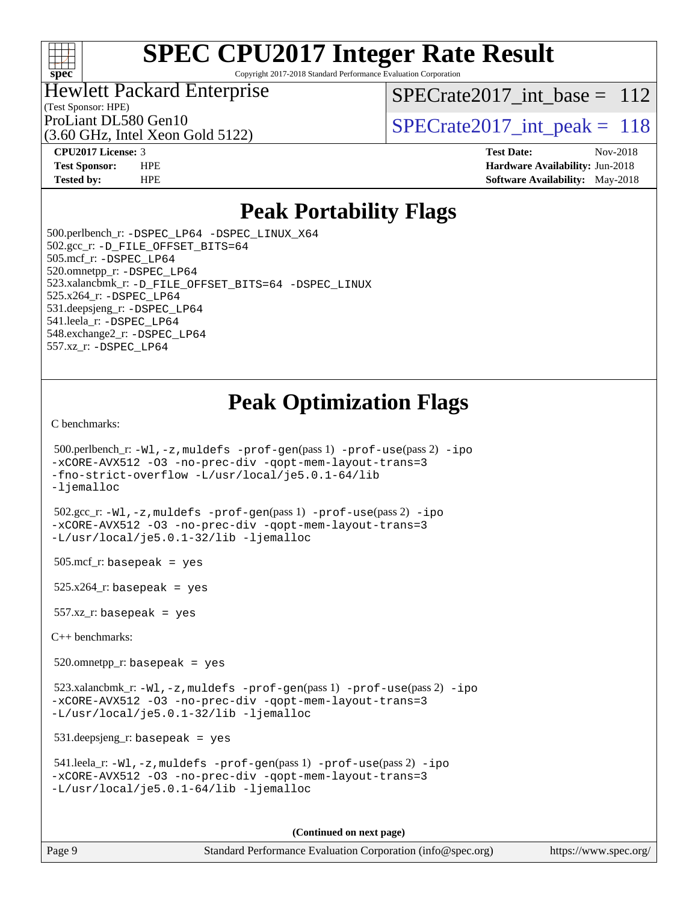

Copyright 2017-2018 Standard Performance Evaluation Corporation

### Hewlett Packard Enterprise

(Test Sponsor: HPE)

[SPECrate2017\\_int\\_base =](http://www.spec.org/auto/cpu2017/Docs/result-fields.html#SPECrate2017intbase) 112

(3.60 GHz, Intel Xeon Gold 5122)

ProLiant DL580 Gen10<br>  $SPECTate2017$ \_int\_peak = 118

**[CPU2017 License:](http://www.spec.org/auto/cpu2017/Docs/result-fields.html#CPU2017License)** 3 **[Test Date:](http://www.spec.org/auto/cpu2017/Docs/result-fields.html#TestDate)** Nov-2018 **[Test Sponsor:](http://www.spec.org/auto/cpu2017/Docs/result-fields.html#TestSponsor)** HPE **[Hardware Availability:](http://www.spec.org/auto/cpu2017/Docs/result-fields.html#HardwareAvailability)** Jun-2018 **[Tested by:](http://www.spec.org/auto/cpu2017/Docs/result-fields.html#Testedby)** HPE **[Software Availability:](http://www.spec.org/auto/cpu2017/Docs/result-fields.html#SoftwareAvailability)** May-2018

# **[Peak Portability Flags](http://www.spec.org/auto/cpu2017/Docs/result-fields.html#PeakPortabilityFlags)**

 500.perlbench\_r: [-DSPEC\\_LP64](http://www.spec.org/cpu2017/results/res2018q4/cpu2017-20181130-10005.flags.html#b500.perlbench_r_peakPORTABILITY_DSPEC_LP64) [-DSPEC\\_LINUX\\_X64](http://www.spec.org/cpu2017/results/res2018q4/cpu2017-20181130-10005.flags.html#b500.perlbench_r_peakCPORTABILITY_DSPEC_LINUX_X64) 502.gcc\_r: [-D\\_FILE\\_OFFSET\\_BITS=64](http://www.spec.org/cpu2017/results/res2018q4/cpu2017-20181130-10005.flags.html#user_peakPORTABILITY502_gcc_r_file_offset_bits_64_5ae949a99b284ddf4e95728d47cb0843d81b2eb0e18bdfe74bbf0f61d0b064f4bda2f10ea5eb90e1dcab0e84dbc592acfc5018bc955c18609f94ddb8d550002c) 505.mcf\_r: [-DSPEC\\_LP64](http://www.spec.org/cpu2017/results/res2018q4/cpu2017-20181130-10005.flags.html#suite_peakPORTABILITY505_mcf_r_DSPEC_LP64) 520.omnetpp\_r: [-DSPEC\\_LP64](http://www.spec.org/cpu2017/results/res2018q4/cpu2017-20181130-10005.flags.html#suite_peakPORTABILITY520_omnetpp_r_DSPEC_LP64) 523.xalancbmk\_r: [-D\\_FILE\\_OFFSET\\_BITS=64](http://www.spec.org/cpu2017/results/res2018q4/cpu2017-20181130-10005.flags.html#user_peakPORTABILITY523_xalancbmk_r_file_offset_bits_64_5ae949a99b284ddf4e95728d47cb0843d81b2eb0e18bdfe74bbf0f61d0b064f4bda2f10ea5eb90e1dcab0e84dbc592acfc5018bc955c18609f94ddb8d550002c) [-DSPEC\\_LINUX](http://www.spec.org/cpu2017/results/res2018q4/cpu2017-20181130-10005.flags.html#b523.xalancbmk_r_peakCXXPORTABILITY_DSPEC_LINUX) 525.x264\_r: [-DSPEC\\_LP64](http://www.spec.org/cpu2017/results/res2018q4/cpu2017-20181130-10005.flags.html#suite_peakPORTABILITY525_x264_r_DSPEC_LP64) 531.deepsjeng\_r: [-DSPEC\\_LP64](http://www.spec.org/cpu2017/results/res2018q4/cpu2017-20181130-10005.flags.html#suite_peakPORTABILITY531_deepsjeng_r_DSPEC_LP64) 541.leela\_r: [-DSPEC\\_LP64](http://www.spec.org/cpu2017/results/res2018q4/cpu2017-20181130-10005.flags.html#suite_peakPORTABILITY541_leela_r_DSPEC_LP64) 548.exchange2\_r: [-DSPEC\\_LP64](http://www.spec.org/cpu2017/results/res2018q4/cpu2017-20181130-10005.flags.html#suite_peakPORTABILITY548_exchange2_r_DSPEC_LP64) 557.xz\_r: [-DSPEC\\_LP64](http://www.spec.org/cpu2017/results/res2018q4/cpu2017-20181130-10005.flags.html#suite_peakPORTABILITY557_xz_r_DSPEC_LP64)

# **[Peak Optimization Flags](http://www.spec.org/auto/cpu2017/Docs/result-fields.html#PeakOptimizationFlags)**

[C benchmarks](http://www.spec.org/auto/cpu2017/Docs/result-fields.html#Cbenchmarks):

```
 500.perlbench_r: -Wl,-z,muldefs -prof-gen(pass 1) -prof-use(pass 2) -ipo
-xCORE-AVX512 -O3 -no-prec-div -qopt-mem-layout-trans=3
-fno-strict-overflow -L/usr/local/je5.0.1-64/lib
-ljemalloc
 502.gcc_r: -Wl,-z,muldefs -prof-gen(pass 1) -prof-use(pass 2) -ipo
-xCORE-AVX512 -O3 -no-prec-div -qopt-mem-layout-trans=3
-L/usr/local/je5.0.1-32/lib -ljemalloc
505.\text{mcf}_r: basepeak = yes
525.x264_r: basepeak = yes
557.xz_r: basepeak = yes
C++ benchmarks: 
 520.omnetpp_r: basepeak = yes
 523.xalancbmk_r: -Wl,-z,muldefs -prof-gen(pass 1) -prof-use(pass 2) -ipo
-xCORE-AVX512 -O3 -no-prec-div -qopt-mem-layout-trans=3
-L/usr/local/je5.0.1-32/lib -ljemalloc
 531.deepsjeng_r: basepeak = yes
 541.leela_r: -Wl,-z,muldefs -prof-gen(pass 1) -prof-use(pass 2) -ipo
-xCORE-AVX512 -O3 -no-prec-div -qopt-mem-layout-trans=3
-L/usr/local/je5.0.1-64/lib -ljemalloc
```
**(Continued on next page)**